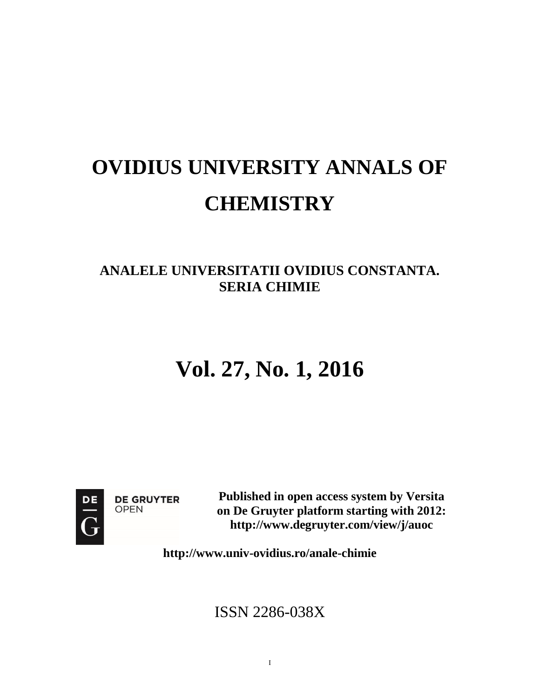# **OVIDIUS UNIVERSITY ANNALS OF CHEMISTRY**

### **ANALELE UNIVERSITATII OVIDIUS CONSTANTA. SERIA CHIMIE**

## **Vol. 27, No. 1, 2016**



**DE GRUYTER OPEN** 

**Published in open access system by Versita on De Gruyter platform starting with 2012: <http://www.degruyter.com/view/j/auoc>**

**<http://www.univ-ovidius.ro/anale-chimie>**

ISSN 2286-038X